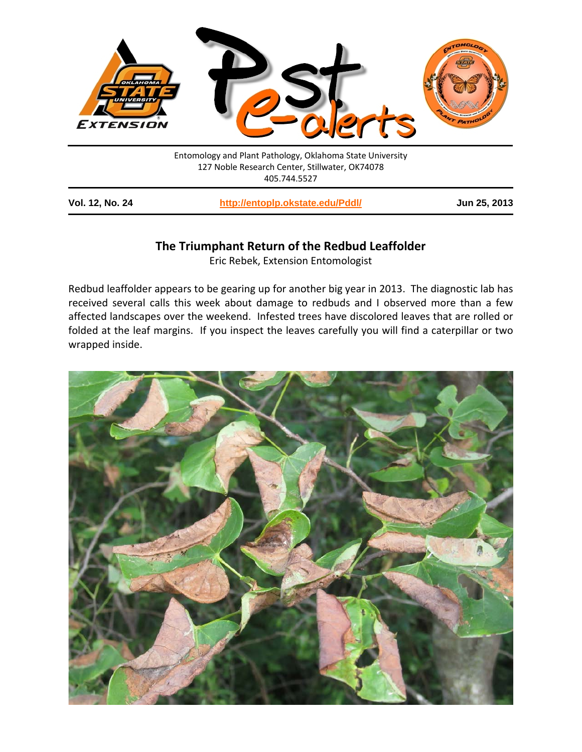

| <b>Vol. 12, No. 24</b> | http://entoplp.okstate.edu/Pddl/ | Jun 25, 2013 |
|------------------------|----------------------------------|--------------|
|------------------------|----------------------------------|--------------|

## **The Triumphant Return of the Redbud Leaffolder**

Eric Rebek, Extension Entomologist

Redbud leaffolder appears to be gearing up for another big year in 2013. The diagnostic lab has received several calls this week about damage to redbuds and I observed more than a few affected landscapes over the weekend. Infested trees have discolored leaves that are rolled or folded at the leaf margins. If you inspect the leaves carefully you will find a caterpillar or two wrapped inside.

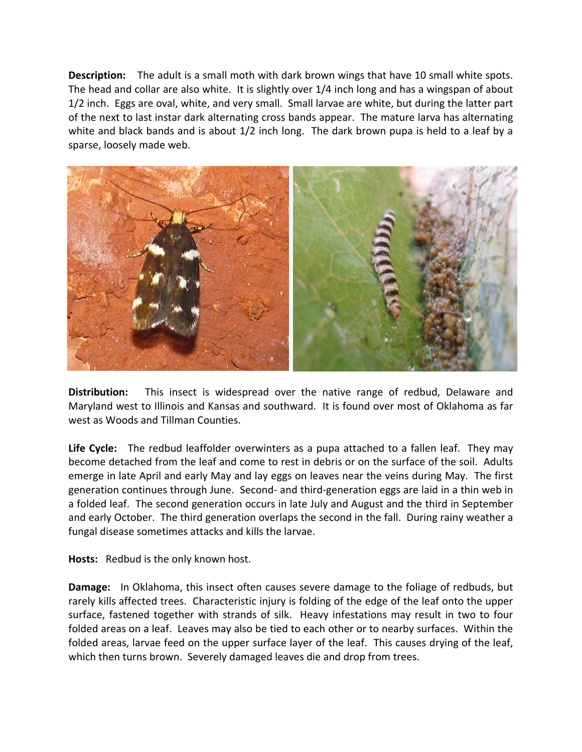**Description:** The adult is a small moth with dark brown wings that have 10 small white spots. The head and collar are also white. It is slightly over 1/4 inch long and has a wingspan of about 1/2 inch. Eggs are oval, white, and very small. Small larvae are white, but during the latter part of the next to last instar dark alternating cross bands appear. The mature larva has alternating white and black bands and is about 1/2 inch long. The dark brown pupa is held to a leaf by a sparse, loosely made web.



**Distribution:** This insect is widespread over the native range of redbud, Delaware and Maryland west to Illinois and Kansas and southward. It is found over most of Oklahoma as far west as Woods and Tillman Counties.

**Life Cycle:** The redbud leaffolder overwinters as a pupa attached to a fallen leaf. They may become detached from the leaf and come to rest in debris or on the surface of the soil. Adults emerge in late April and early May and lay eggs on leaves near the veins during May. The first generation continues through June. Second- and third-generation eggs are laid in a thin web in a folded leaf. The second generation occurs in late July and August and the third in September and early October. The third generation overlaps the second in the fall. During rainy weather a fungal disease sometimes attacks and kills the larvae.

**Hosts:** Redbud is the only known host.

**Damage:** In Oklahoma, this insect often causes severe damage to the foliage of redbuds, but rarely kills affected trees. Characteristic injury is folding of the edge of the leaf onto the upper surface, fastened together with strands of silk. Heavy infestations may result in two to four folded areas on a leaf. Leaves may also be tied to each other or to nearby surfaces. Within the folded areas, larvae feed on the upper surface layer of the leaf. This causes drying of the leaf, which then turns brown. Severely damaged leaves die and drop from trees.